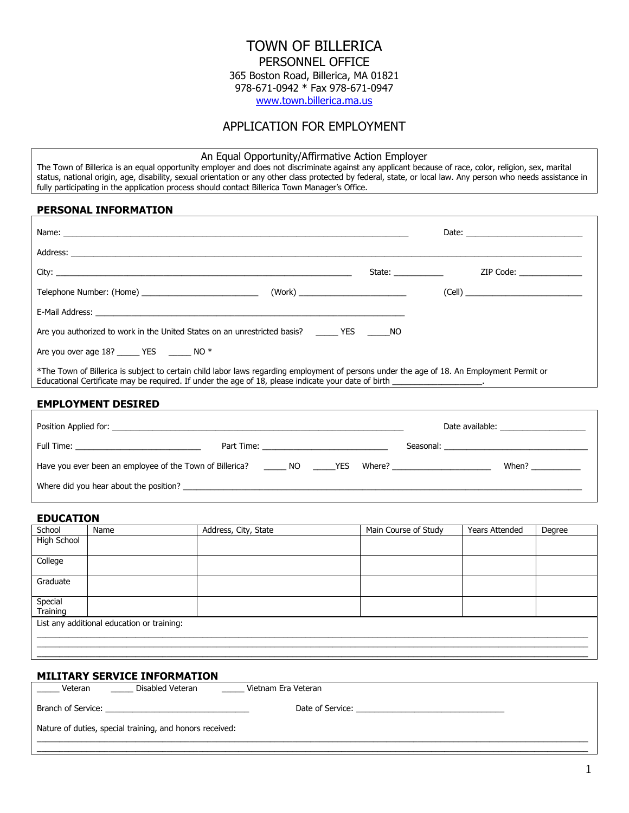# TOWN OF BILLERICA PERSONNEL OFFICE 365 Boston Road, Billerica, MA 01821 978-671-0942 \* Fax 978-671-0947

[www.town.billerica.ma.us](http://www.town.billerica.ma.us/) 

## APPLICATION FOR EMPLOYMENT

## An Equal Opportunity/Affirmative Action Employer

The Town of Billerica is an equal opportunity employer and does not discriminate against any applicant because of race, color, religion, sex, marital status, national origin, age, disability, sexual orientation or any other class protected by federal, state, or local law. Any person who needs assistance in fully participating in the application process should contact Billerica Town Manager's Office.

## **PERSONAL INFORMATION**

|                                                                                                                                                                                                                                                                         | State: and the state of the state of the state of the state of the state of the state of the state of the state of the state of the state of the state of the state of the state of the state of the state of the state of the | ZIP Code: |
|-------------------------------------------------------------------------------------------------------------------------------------------------------------------------------------------------------------------------------------------------------------------------|--------------------------------------------------------------------------------------------------------------------------------------------------------------------------------------------------------------------------------|-----------|
|                                                                                                                                                                                                                                                                         |                                                                                                                                                                                                                                |           |
|                                                                                                                                                                                                                                                                         |                                                                                                                                                                                                                                |           |
| Are you authorized to work in the United States on an unrestricted basis? _______ YES _______ NO                                                                                                                                                                        |                                                                                                                                                                                                                                |           |
| Are you over age 18? ______ YES _______ NO *                                                                                                                                                                                                                            |                                                                                                                                                                                                                                |           |
| *The Town of Billerica is subject to certain child labor laws regarding employment of persons under the age of 18. An Employment Permit or<br>Educational Certificate may be required. If under the age of 18, please indicate your date of birth ____________________. |                                                                                                                                                                                                                                |           |

## **EMPLOYMENT DESIRED**

|                                                                    |                                                | Date available: ______________________ |
|--------------------------------------------------------------------|------------------------------------------------|----------------------------------------|
|                                                                    | Part Time: ___________________________________ |                                        |
| Have you ever been an employee of the Town of Billerica? NO MO RES |                                                | When? $\qquad \qquad$                  |
| Where did you hear about the position?                             |                                                |                                        |

### **EDUCATION**

| School             | Name                                       | Address, City, State | Main Course of Study | <b>Years Attended</b> | Degree |
|--------------------|--------------------------------------------|----------------------|----------------------|-----------------------|--------|
| <b>High School</b> |                                            |                      |                      |                       |        |
|                    |                                            |                      |                      |                       |        |
| College            |                                            |                      |                      |                       |        |
| Graduate           |                                            |                      |                      |                       |        |
| Special            |                                            |                      |                      |                       |        |
| Training           |                                            |                      |                      |                       |        |
|                    | List any additional education or training: |                      |                      |                       |        |
|                    |                                            |                      |                      |                       |        |
|                    |                                            |                      |                      |                       |        |
|                    |                                            |                      |                      |                       |        |

## **MILITARY SERVICE INFORMATION**

| Disabled Veteran<br>Veteran                              | Vietnam Era Veteran |  |
|----------------------------------------------------------|---------------------|--|
|                                                          | Date of Service:    |  |
| Nature of duties, special training, and honors received: |                     |  |
|                                                          |                     |  |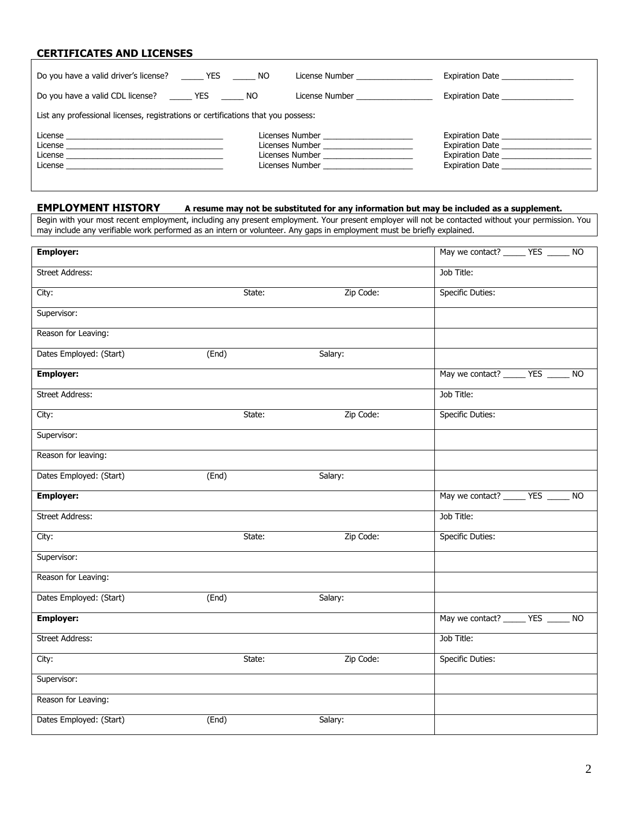## **CERTIFICATES AND LICENSES**

| Do you have a valid driver's license? The YES NO                                                                                                                                                                                                | License Number <b>Example 18</b>                                                                                                                                                                                                        | Expiration Date                                                                                                                                  |
|-------------------------------------------------------------------------------------------------------------------------------------------------------------------------------------------------------------------------------------------------|-----------------------------------------------------------------------------------------------------------------------------------------------------------------------------------------------------------------------------------------|--------------------------------------------------------------------------------------------------------------------------------------------------|
| Do you have a valid CDL license? YES NO                                                                                                                                                                                                         | License Number <b>Example 19</b>                                                                                                                                                                                                        | Expiration Date <b>Expiration</b>                                                                                                                |
| List any professional licenses, registrations or certifications that you possess:                                                                                                                                                               |                                                                                                                                                                                                                                         |                                                                                                                                                  |
| License<br>License <u>and the contract of the contract of the contract of the contract of the contract of the contract of the contract of the contract of the contract of the contract of the contract of the contract of the contract of t</u> | Licenses Number <b>Exercía de Sena de Sena de Sena</b> de Sena de Sena de Sena de Sena de Sena de Sena de Sena de Se<br>Licenses Number <b>Example 19</b><br>Licenses Number <b>Example 1999</b><br>Licenses Number <b>Example 1999</b> | Expiration Date <b>Expiration</b><br>Expiration Date <b>Expiration</b><br>Expiration Date _________________<br>Expiration Date <b>Expiration</b> |

## **EMPLOYMENT HISTORY A resume may not be substituted for any information but may be included as a supplement.**

Begin with your most recent employment, including any present employment. Your present employer will not be contacted without your permission. You may include any verifiable work performed as an intern or volunteer. Any gaps in employment must be briefly explained.

| <b>Employer:</b>        |                    |           | May we contact? ________ YES _______ NO               |
|-------------------------|--------------------|-----------|-------------------------------------------------------|
| <b>Street Address:</b>  |                    |           | Job Title:                                            |
| City:                   | State:             | Zip Code: | <b>Specific Duties:</b>                               |
| Supervisor:             |                    |           |                                                       |
| Reason for Leaving:     |                    |           |                                                       |
| Dates Employed: (Start) | (End)              | Salary:   |                                                       |
| <b>Employer:</b>        |                    |           | May we contact? ________ YES _______ NO               |
| <b>Street Address:</b>  |                    |           | Job Title:                                            |
| City:                   | State:             | Zip Code: | <b>Specific Duties:</b>                               |
| Supervisor:             |                    |           |                                                       |
| Reason for leaving:     |                    |           |                                                       |
| Dates Employed: (Start) | (End)              | Salary:   |                                                       |
| <b>Employer:</b>        |                    |           | May we contact? _______ YES ______<br>$\overline{NQ}$ |
|                         |                    |           |                                                       |
| <b>Street Address:</b>  |                    |           | Job Title:                                            |
| City:                   | State:             | Zip Code: | <b>Specific Duties:</b>                               |
| Supervisor:             |                    |           |                                                       |
| Reason for Leaving:     |                    |           |                                                       |
| Dates Employed: (Start) | $\overline{(End)}$ | Salary:   |                                                       |
| <b>Employer:</b>        |                    |           | May we contact? ________ YES _______ NO               |
| <b>Street Address:</b>  |                    |           | Job Title:                                            |
| City:                   | State:             | Zip Code: | <b>Specific Duties:</b>                               |
| Supervisor:             |                    |           |                                                       |
| Reason for Leaving:     |                    |           |                                                       |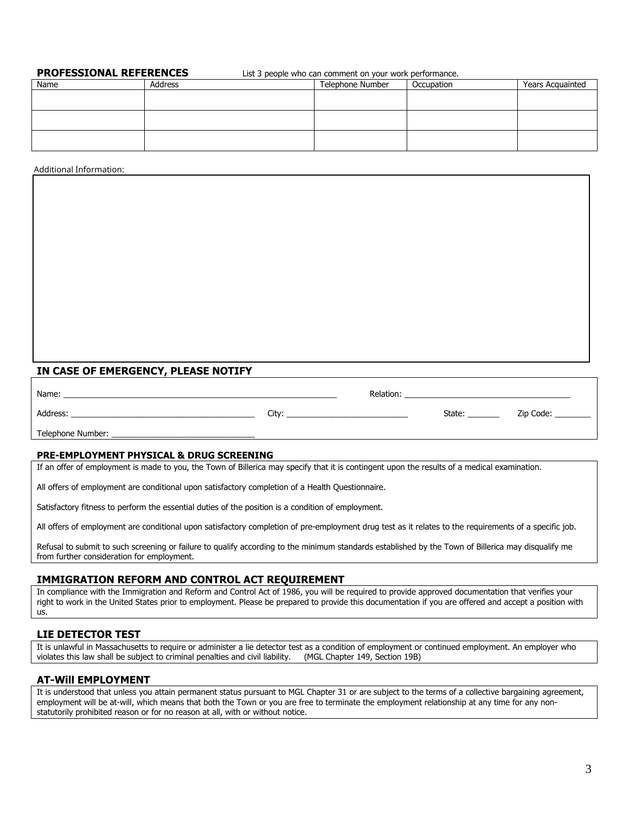**PROFESSIONAL REFERENCES** List 3 people who can comment on your work performance.

| Name | Address | Telephone Number | Occupation | Years Acquainted |
|------|---------|------------------|------------|------------------|
|      |         |                  |            |                  |
|      |         |                  |            |                  |
|      |         |                  |            |                  |
|      |         |                  |            |                  |
|      |         |                  |            |                  |
|      |         |                  |            |                  |

**CRIMINAL HISTORY** Additional Information:

## **IN CASE OF EMERGENCY, PLEASE NOTIFY**

| Name:             |       | Relation: |        |           |
|-------------------|-------|-----------|--------|-----------|
| Address:          | Citv: |           | State: | Zip Code: |
| Telephone Number: |       |           |        |           |

5. You have a delinquency or as a child in need of services which did not result in complaint transferred to the superior court for criminal prosecution.

### **PRE-EMPLOYMENT PHYSICAL & DRUG SCREENING**

If an offer of employment is made to you, the Town of Billerica may specify that it is contingent upon the results of a medical examination.

All offers of employment are conditional upon satisfactory completion of a Health Questionnaire.

Satisfactory fitness to perform the essential duties of the position is a condition of employment.

All offers of employment are conditional upon satisfactory completion of pre-employment drug test as it relates to the requirements of a specific job.

Refusal to submit to such screening or failure to qualify according to the minimum standards established by the Town of Billerica may disqualify me from further consideration for employment.

## **IMMIGRATION REFORM AND CONTROL ACT REQUIREMENT**

In compliance with the Immigration and Reform and Control Act of 1986, you will be required to provide approved documentation that verifies your right to work in the United States prior to employment. Please be prepared to provide this documentation if you are offered and accept a position with us.

## **LIE DETECTOR TEST**

It is unlawful in Massachusetts to require or administer a lie detector test as a condition of employment or continued employment. An employer who violates this law shall be subject to criminal penalties and civil liabilit violates this law shall be subject to criminal penalties and civil liability.

## **AT-Will EMPLOYMENT**

It is understood that unless you attain permanent status pursuant to MGL Chapter 31 or are subject to the terms of a collective bargaining agreement, employment will be at-will, which means that both the Town or you are free to terminate the employment relationship at any time for any nonstatutorily prohibited reason or for no reason at all, with or without notice.